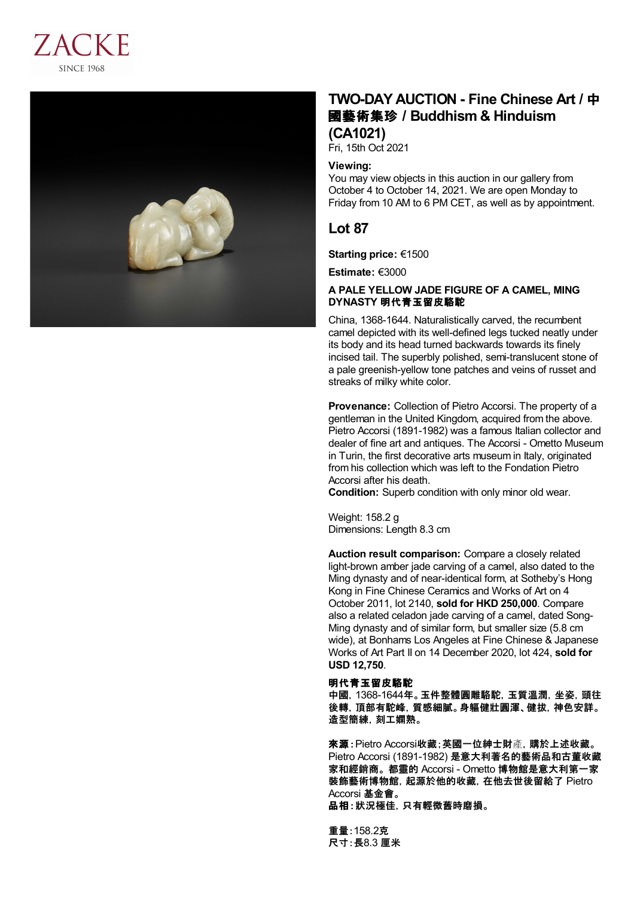



# **TWO-DAY AUCTION - Fine Chinese Art /** 中 國藝術集珍 **/Buddhism & Hinduism (CA1021)**

Fri, 15th Oct 2021

#### **Viewing:**

You may view objects in this auction in our gallery from October 4 to October 14, 2021. We are open Monday to Friday from 10 AM to 6 PM CET, as well as by appointment.

## **Lot 87**

**Starting price:** €1500

**Estimate:** €3000

### **A PALE YELLOW JADE FIGURE OF A CAMEL, MING DYNASTY** 明代青玉留皮駱駝

China, 1368-1644. Naturalistically carved, the recumbent camel depicted with its well-defined legs tucked neatly under its body and its head turned backwards towards its finely incised tail. The superbly polished, semi-translucent stone of a pale greenish-yellow tone patches and veins of russet and streaks of milky white color.

**Provenance:** Collection of Pietro Accorsi. The property of a gentleman in the United Kingdom, acquired from the above. Pietro Accorsi (1891-1982) was a famous Italian collector and dealer of fine art and antiques. The Accorsi - Ometto Museum in Turin, the first decorative arts museum in Italy, originated from his collection which was left to the Fondation Pietro Accorsi after his death.

**Condition:** Superb condition with only minor old wear.

Weight: 158.2 g Dimensions: Length 8.3 cm

**Auction result comparison:** Compare a closely related light-brown amber jade carving of a camel, also dated to the Ming dynasty and of near-identical form, at Sotheby's Hong Kong in Fine Chinese Ceramics and Works of Art on 4 October 2011, lot 2140, **sold for HKD 250,000**. Compare also a related celadon jade carving of a camel, dated Song- Ming dynasty and of similar form, but smaller size (5.8 cm wide), at Bonhams Los Angeles at Fine Chinese & Japanese Works of Art Part II on 14 December 2020, lot 424, **sold for USD 12,750**.

### 明代青玉留皮駱駝

中國,1368-1644年。玉件整體圓雕駱駝,玉質溫潤,坐姿,頭往 後轉,頂部有駝峰,質感細膩。身軀健壯圓渾、健拔,神色安詳。 造型簡練,刻工嫻熟。

來源:Pietro Accorsi收藏;英國一位紳士財產,購於上述收藏。 Pietro Accorsi (1891-1982) 是意大利著名的藝術品和古董收藏 家和經銷商。 都靈的 Accorsi - Ometto 博物館是意大利第一家 裝飾藝術博物館,起源於他的收藏,在他去世後留給了 Pietro Accorsi 基金會。

品相:狀況極佳,只有輕微舊時磨損。

重量:158.2克 尺寸:長8.3 厘米